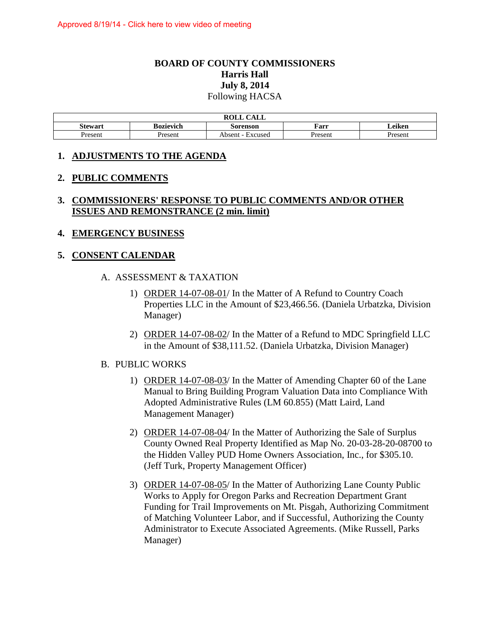## **BOARD OF COUNTY COMMISSIONERS Harris Hall July 8, 2014**  Following HACSA

| <b>ROLL</b><br>$C$ at t<br>ALL- |                                         |                                               |         |         |  |  |
|---------------------------------|-----------------------------------------|-----------------------------------------------|---------|---------|--|--|
| Stewart                         | Leiken<br>Farr<br>Bozievich<br>Sorenson |                                               |         |         |  |  |
| <b>Present</b>                  | Present                                 | Absent<br>Excused<br>$\overline{\phantom{a}}$ | Present | Present |  |  |

### **1. ADJUSTMENTS TO THE AGENDA**

#### **2. PUBLIC COMMENTS**

## **3. COMMISSIONERS' RESPONSE TO PUBLIC COMMENTS AND/OR OTHER ISSUES AND REMONSTRANCE (2 min. limit)**

### **4. EMERGENCY BUSINESS**

#### **5. CONSENT CALENDAR**

#### A. ASSESSMENT & TAXATION

- 1) ORDER 14-07-08-01/ In the Matter of A Refund to Country Coach Properties LLC in the Amount of \$23,466.56. (Daniela Urbatzka, Division Manager)
- 2) ORDER 14-07-08-02/ In the Matter of a Refund to MDC Springfield LLC in the Amount of \$38,111.52. (Daniela Urbatzka, Division Manager)

#### B. PUBLIC WORKS

- 1) ORDER 14-07-08-03/ In the Matter of Amending Chapter 60 of the Lane Manual to Bring Building Program Valuation Data into Compliance With Adopted Administrative Rules (LM 60.855) (Matt Laird, Land Management Manager)
- 2) ORDER 14-07-08-04/ In the Matter of Authorizing the Sale of Surplus County Owned Real Property Identified as Map No. 20-03-28-20-08700 to the Hidden Valley PUD Home Owners Association, Inc., for \$305.10. (Jeff Turk, Property Management Officer)
- 3) ORDER 14-07-08-05/ In the Matter of Authorizing Lane County Public Works to Apply for Oregon Parks and Recreation Department Grant Funding for Trail Improvements on Mt. Pisgah, Authorizing Commitment of Matching Volunteer Labor, and if Successful, Authorizing the County Administrator to Execute Associated Agreements. (Mike Russell, Parks Manager)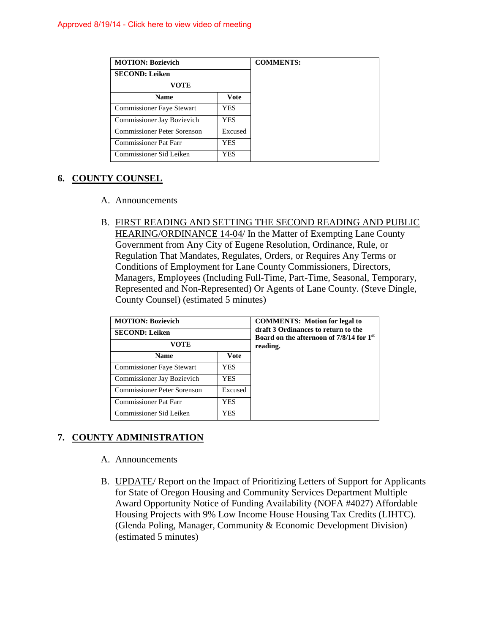| <b>MOTION: Bozievich</b>         |            |  |
|----------------------------------|------------|--|
| <b>SECOND: Leiken</b>            |            |  |
| VOTE                             |            |  |
| <b>Name</b>                      | Vote       |  |
| <b>Commissioner Faye Stewart</b> | <b>YES</b> |  |
| Commissioner Jay Bozievich       | YES.       |  |
| Commissioner Peter Sorenson      | Excused    |  |
| <b>Commissioner Pat Farr</b>     | YES.       |  |
| Commissioner Sid Leiken          | YES.       |  |

## **6. COUNTY COUNSEL**

- A. Announcements
- B. FIRST READING AND SETTING THE SECOND READING AND PUBLIC HEARING/ORDINANCE 14-04/ In the Matter of Exempting Lane County Government from Any City of Eugene Resolution, Ordinance, Rule, or Regulation That Mandates, Regulates, Orders, or Requires Any Terms or Conditions of Employment for Lane County Commissioners, Directors, Managers, Employees (Including Full-Time, Part-Time, Seasonal, Temporary, Represented and Non-Represented) Or Agents of Lane County. (Steve Dingle, County Counsel) (estimated 5 minutes)

| <b>MOTION: Bozievich</b>         | <b>COMMENTS:</b> Motion for legal to<br>draft 3 Ordinances to return to the<br>Board on the afternoon of 7/8/14 for 1 <sup>st</sup><br>reading. |  |
|----------------------------------|-------------------------------------------------------------------------------------------------------------------------------------------------|--|
| <b>SECOND: Leiken</b>            |                                                                                                                                                 |  |
| VOTE                             |                                                                                                                                                 |  |
| <b>Name</b>                      | Vote                                                                                                                                            |  |
| <b>Commissioner Faye Stewart</b> | <b>YES</b>                                                                                                                                      |  |
| Commissioner Jay Bozievich       | <b>YES</b>                                                                                                                                      |  |
| Commissioner Peter Sorenson      | Excused                                                                                                                                         |  |
| <b>Commissioner Pat Farr</b>     | <b>YES</b>                                                                                                                                      |  |
| Commissioner Sid Leiken          | YES                                                                                                                                             |  |

# **7. COUNTY ADMINISTRATION**

- A. Announcements
- B. UPDATE/ Report on the Impact of Prioritizing Letters of Support for Applicants for State of Oregon Housing and Community Services Department Multiple Award Opportunity Notice of Funding Availability (NOFA #4027) Affordable Housing Projects with 9% Low Income House Housing Tax Credits (LIHTC). (Glenda Poling, Manager, Community & Economic Development Division) (estimated 5 minutes)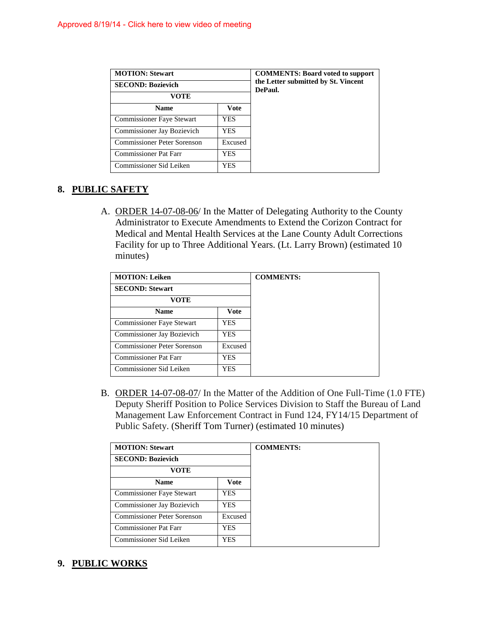| <b>MOTION: Stewart</b>                     | <b>COMMENTS: Board voted to support</b><br>the Letter submitted by St. Vincent<br>DePaul. |  |
|--------------------------------------------|-------------------------------------------------------------------------------------------|--|
| <b>SECOND: Bozievich</b>                   |                                                                                           |  |
| VOTE                                       |                                                                                           |  |
| <b>Name</b>                                | Vote                                                                                      |  |
| <b>Commissioner Faye Stewart</b>           | <b>YES</b>                                                                                |  |
| Commissioner Jay Bozievich                 | <b>YES</b>                                                                                |  |
| Commissioner Peter Sorenson                | Excused                                                                                   |  |
| <b>Commissioner Pat Farr</b><br><b>YES</b> |                                                                                           |  |
| Commissioner Sid Leiken                    | <b>YES</b>                                                                                |  |

## **8. PUBLIC SAFETY**

A. ORDER 14-07-08-06/ In the Matter of Delegating Authority to the County Administrator to Execute Amendments to Extend the Corizon Contract for Medical and Mental Health Services at the Lane County Adult Corrections Facility for up to Three Additional Years. (Lt. Larry Brown) (estimated 10 minutes)

| <b>MOTION: Leiken</b>            |             |  |
|----------------------------------|-------------|--|
| <b>SECOND: Stewart</b>           |             |  |
| VOTE                             |             |  |
| <b>Name</b>                      | <b>Vote</b> |  |
| <b>Commissioner Faye Stewart</b> | YES         |  |
| Commissioner Jay Bozievich       | YES.        |  |
| Commissioner Peter Sorenson      | Excused     |  |
| <b>Commissioner Pat Farr</b>     | YES.        |  |
| Commissioner Sid Leiken          | YES         |  |

B. ORDER 14-07-08-07/ In the Matter of the Addition of One Full-Time (1.0 FTE) Deputy Sheriff Position to Police Services Division to Staff the Bureau of Land Management Law Enforcement Contract in Fund 124, FY14/15 Department of Public Safety. (Sheriff Tom Turner) (estimated 10 minutes)

| <b>MOTION: Stewart</b>       |            |  |
|------------------------------|------------|--|
| <b>SECOND: Bozievich</b>     |            |  |
| VOTE                         |            |  |
| <b>Name</b>                  | Vote       |  |
| Commissioner Faye Stewart    | <b>YES</b> |  |
| Commissioner Jay Bozievich   | <b>YES</b> |  |
| Commissioner Peter Sorenson  | Excused    |  |
| <b>Commissioner Pat Farr</b> | <b>YES</b> |  |
| Commissioner Sid Leiken      | <b>YES</b> |  |

### **9. PUBLIC WORKS**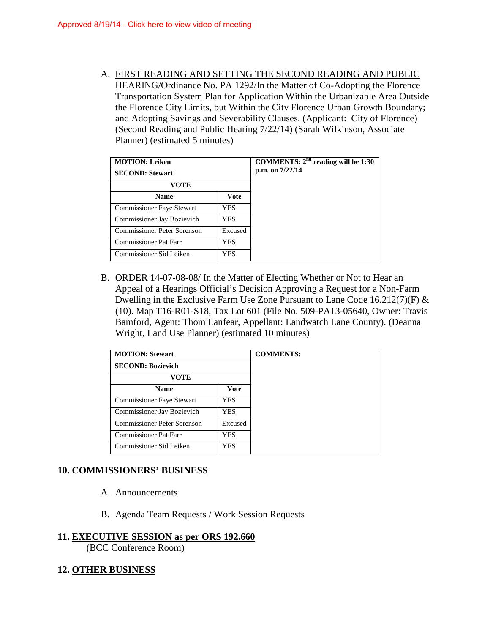A. FIRST READING AND SETTING THE SECOND READING AND PUBLIC HEARING/Ordinance No. PA 1292/In the Matter of Co-Adopting the Florence Transportation System Plan for Application Within the Urbanizable Area Outside the Florence City Limits, but Within the City Florence Urban Growth Boundary; and Adopting Savings and Severability Clauses. (Applicant: City of Florence) (Second Reading and Public Hearing 7/22/14) (Sarah Wilkinson, Associate Planner) (estimated 5 minutes)

| <b>MOTION: Leiken</b>                         | COMMENTS: $2nd$ reading will be 1:30<br>p.m. on 7/22/14 |  |
|-----------------------------------------------|---------------------------------------------------------|--|
| <b>SECOND: Stewart</b>                        |                                                         |  |
| VOTE                                          |                                                         |  |
| <b>Name</b><br>Vote                           |                                                         |  |
| <b>Commissioner Faye Stewart</b>              | <b>YES</b>                                              |  |
| Commissioner Jay Bozievich<br><b>YES</b>      |                                                         |  |
| <b>Commissioner Peter Sorenson</b><br>Excused |                                                         |  |
| <b>Commissioner Pat Farr</b><br>YES.          |                                                         |  |
| Commissioner Sid Leiken                       | <b>YES</b>                                              |  |

B. ORDER 14-07-08-08/ In the Matter of Electing Whether or Not to Hear an Appeal of a Hearings Official's Decision Approving a Request for a Non-Farm Dwelling in the Exclusive Farm Use Zone Pursuant to Lane Code 16.212(7)(F) & (10). Map T16-R01-S18, Tax Lot 601 (File No. 509-PA13-05640, Owner: Travis Bamford, Agent: Thom Lanfear, Appellant: Landwatch Lane County). (Deanna Wright, Land Use Planner) (estimated 10 minutes)

| <b>MOTION: Stewart</b>           |            |  |
|----------------------------------|------------|--|
| <b>SECOND: Bozievich</b>         |            |  |
| <b>VOTE</b>                      |            |  |
| <b>Name</b>                      | Vote       |  |
| <b>Commissioner Faye Stewart</b> | <b>YES</b> |  |
| Commissioner Jay Bozievich       | <b>YES</b> |  |
| Commissioner Peter Sorenson      | Excused    |  |
| <b>Commissioner Pat Farr</b>     | YES        |  |
| Commissioner Sid Leiken          | YES        |  |

## **10. COMMISSIONERS' BUSINESS**

- A. Announcements
- B. Agenda Team Requests / Work Session Requests

#### **11. EXECUTIVE SESSION as per ORS 192.660**

(BCC Conference Room)

### **12. OTHER BUSINESS**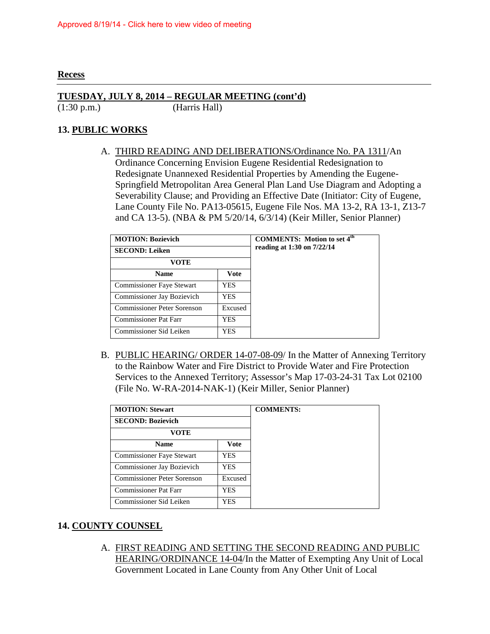#### **Recess**

### **TUESDAY, JULY 8, 2014 – REGULAR MEETING (cont'd)**

(1:30 p.m.) (Harris Hall)

## **13. PUBLIC WORKS**

A. THIRD READING AND DELIBERATIONS/Ordinance No. PA 1311/An Ordinance Concerning Envision Eugene Residential Redesignation to Redesignate Unannexed Residential Properties by Amending the Eugene-Springfield Metropolitan Area General Plan Land Use Diagram and Adopting a Severability Clause; and Providing an Effective Date (Initiator: City of Eugene, Lane County File No. PA13-05615, Eugene File Nos. MA 13-2, RA 13-1, Z13-7 and CA 13-5). (NBA & PM 5/20/14, 6/3/14) (Keir Miller, Senior Planner)

| <b>MOTION: Bozievich</b>               | <b>COMMENTS:</b> Motion to set 4 <sup>th</sup><br>reading at $1:30$ on $7/22/14$ |  |
|----------------------------------------|----------------------------------------------------------------------------------|--|
| <b>SECOND: Leiken</b>                  |                                                                                  |  |
| VOTE                                   |                                                                                  |  |
| <b>Name</b>                            | <b>Vote</b>                                                                      |  |
| <b>Commissioner Faye Stewart</b>       | <b>YES</b>                                                                       |  |
| Commissioner Jay Bozievich             | <b>YES</b>                                                                       |  |
| Commissioner Peter Sorenson<br>Excused |                                                                                  |  |
| <b>Commissioner Pat Farr</b>           | YES                                                                              |  |
| Commissioner Sid Leiken                | YES                                                                              |  |

B. PUBLIC HEARING/ ORDER 14-07-08-09/ In the Matter of Annexing Territory to the Rainbow Water and Fire District to Provide Water and Fire Protection Services to the Annexed Territory; Assessor's Map 17-03-24-31 Tax Lot 02100 (File No. W-RA-2014-NAK-1) (Keir Miller, Senior Planner)

| <b>MOTION: Stewart</b>       |            |  |
|------------------------------|------------|--|
| <b>SECOND: Bozievich</b>     |            |  |
| VOTE                         |            |  |
| <b>Name</b>                  | Vote       |  |
| Commissioner Faye Stewart    | <b>YES</b> |  |
| Commissioner Jay Bozievich   | YES        |  |
| Commissioner Peter Sorenson  | Excused    |  |
| <b>Commissioner Pat Farr</b> | YES        |  |
| Commissioner Sid Leiken      | YES        |  |

### **14. COUNTY COUNSEL**

A. FIRST READING AND SETTING THE SECOND READING AND PUBLIC HEARING/ORDINANCE 14-04/In the Matter of Exempting Any Unit of Local Government Located in Lane County from Any Other Unit of Local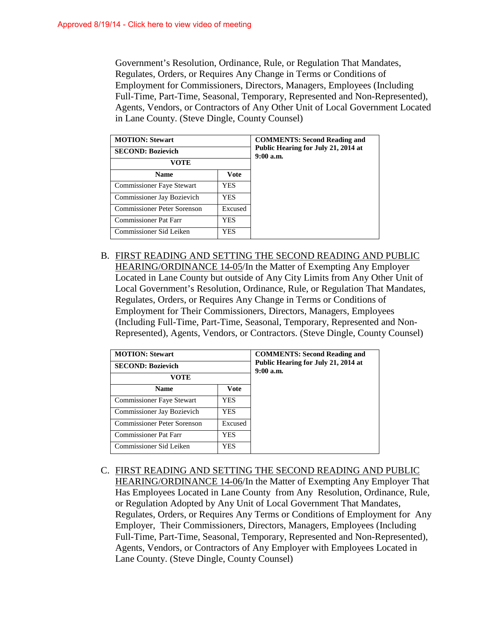Government's Resolution, Ordinance, Rule, or Regulation That Mandates, Regulates, Orders, or Requires Any Change in Terms or Conditions of Employment for Commissioners, Directors, Managers, Employees (Including Full-Time, Part-Time, Seasonal, Temporary, Represented and Non-Represented), Agents, Vendors, or Contractors of Any Other Unit of Local Government Located in Lane County. (Steve Dingle, County Counsel)

| <b>MOTION: Stewart</b>           | <b>COMMENTS: Second Reading and</b><br>Public Hearing for July 21, 2014 at<br>$9:00$ a.m. |  |
|----------------------------------|-------------------------------------------------------------------------------------------|--|
| <b>SECOND: Bozievich</b>         |                                                                                           |  |
| VOTE                             |                                                                                           |  |
| <b>Name</b>                      | Vote                                                                                      |  |
| <b>Commissioner Faye Stewart</b> | YES                                                                                       |  |
| Commissioner Jay Bozievich       | YES                                                                                       |  |
| Commissioner Peter Sorenson      | Excused                                                                                   |  |
| <b>Commissioner Pat Farr</b>     | YES                                                                                       |  |
| Commissioner Sid Leiken          | YES                                                                                       |  |

B. FIRST READING AND SETTING THE SECOND READING AND PUBLIC HEARING/ORDINANCE 14-05/In the Matter of Exempting Any Employer Located in Lane County but outside of Any City Limits from Any Other Unit of Local Government's Resolution, Ordinance, Rule, or Regulation That Mandates, Regulates, Orders, or Requires Any Change in Terms or Conditions of Employment for Their Commissioners, Directors, Managers, Employees (Including Full-Time, Part-Time, Seasonal, Temporary, Represented and Non-Represented), Agents, Vendors, or Contractors. (Steve Dingle, County Counsel)

| <b>MOTION: Stewart</b>              | <b>COMMENTS: Second Reading and</b>                |  |
|-------------------------------------|----------------------------------------------------|--|
| <b>SECOND: Bozievich</b>            | Public Hearing for July 21, 2014 at<br>$9:00$ a.m. |  |
| VOTE                                |                                                    |  |
| Vote<br><b>Name</b>                 |                                                    |  |
| <b>Commissioner Faye Stewart</b>    | YES                                                |  |
| Commissioner Jay Bozievich          | <b>YES</b>                                         |  |
| Commissioner Peter Sorenson         | Excused                                            |  |
| <b>Commissioner Pat Farr</b><br>YES |                                                    |  |
| Commissioner Sid Leiken             | YES                                                |  |

C. FIRST READING AND SETTING THE SECOND READING AND PUBLIC HEARING/ORDINANCE 14-06/In the Matter of Exempting Any Employer That Has Employees Located in Lane County from Any Resolution, Ordinance, Rule, or Regulation Adopted by Any Unit of Local Government That Mandates, Regulates, Orders, or Requires Any Terms or Conditions of Employment for Any Employer, Their Commissioners, Directors, Managers, Employees (Including Full-Time, Part-Time, Seasonal, Temporary, Represented and Non-Represented), Agents, Vendors, or Contractors of Any Employer with Employees Located in Lane County. (Steve Dingle, County Counsel)